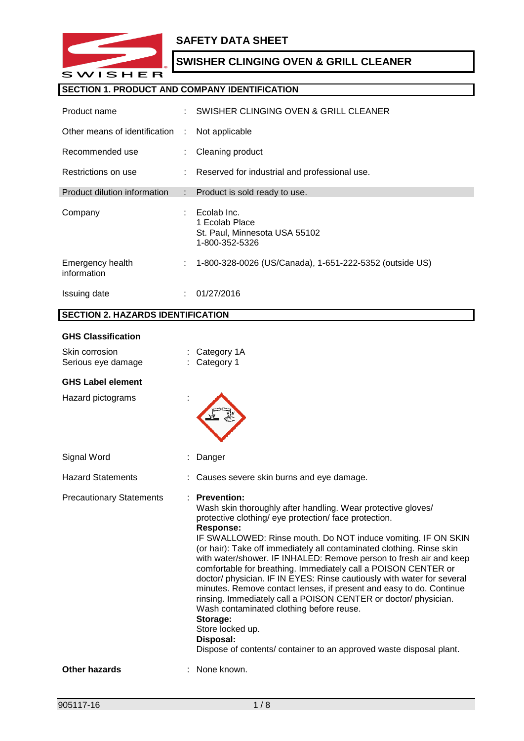

## **SAFETY DATA SHEET**

# **SWISHER CLINGING OVEN & GRILL CLEANER**

## **SECTION 1. PRODUCT AND COMPANY IDENTIFICATION**

| Product name                    | ÷  | SWISHER CLINGING OVEN & GRILL CLEANER                                            |
|---------------------------------|----|----------------------------------------------------------------------------------|
| Other means of identification   | ÷  | Not applicable                                                                   |
| Recommended use                 |    | Cleaning product                                                                 |
| Restrictions on use             | t. | Reserved for industrial and professional use.                                    |
| Product dilution information    | t. | Product is sold ready to use.                                                    |
| Company                         |    | Ecolab Inc.<br>1 Ecolab Place<br>St. Paul, Minnesota USA 55102<br>1-800-352-5326 |
| Emergency health<br>information | ÷  | 1-800-328-0026 (US/Canada), 1-651-222-5352 (outside US)                          |
| Issuing date                    |    | 01/27/2016                                                                       |

## **SECTION 2. HAZARDS IDENTIFICATION**

#### **GHS Classification**

| Skin corrosion<br>Serious eye damage |   | Category 1A<br>Category 1                                                                                                                                                                                                                                                                                                                                                                                                                                                                                                                                                                                                                                                                                                                                                                                                             |
|--------------------------------------|---|---------------------------------------------------------------------------------------------------------------------------------------------------------------------------------------------------------------------------------------------------------------------------------------------------------------------------------------------------------------------------------------------------------------------------------------------------------------------------------------------------------------------------------------------------------------------------------------------------------------------------------------------------------------------------------------------------------------------------------------------------------------------------------------------------------------------------------------|
| <b>GHS Label element</b>             |   |                                                                                                                                                                                                                                                                                                                                                                                                                                                                                                                                                                                                                                                                                                                                                                                                                                       |
| Hazard pictograms                    |   |                                                                                                                                                                                                                                                                                                                                                                                                                                                                                                                                                                                                                                                                                                                                                                                                                                       |
| Signal Word                          |   | Danger                                                                                                                                                                                                                                                                                                                                                                                                                                                                                                                                                                                                                                                                                                                                                                                                                                |
| <b>Hazard Statements</b>             |   | Causes severe skin burns and eye damage.                                                                                                                                                                                                                                                                                                                                                                                                                                                                                                                                                                                                                                                                                                                                                                                              |
| <b>Precautionary Statements</b>      | ٠ | <b>Prevention:</b><br>Wash skin thoroughly after handling. Wear protective gloves/<br>protective clothing/ eye protection/ face protection.<br><b>Response:</b><br>IF SWALLOWED: Rinse mouth. Do NOT induce vomiting. IF ON SKIN<br>(or hair): Take off immediately all contaminated clothing. Rinse skin<br>with water/shower. IF INHALED: Remove person to fresh air and keep<br>comfortable for breathing. Immediately call a POISON CENTER or<br>doctor/ physician. IF IN EYES: Rinse cautiously with water for several<br>minutes. Remove contact lenses, if present and easy to do. Continue<br>rinsing. Immediately call a POISON CENTER or doctor/ physician.<br>Wash contaminated clothing before reuse.<br>Storage:<br>Store locked up.<br>Disposal:<br>Dispose of contents/ container to an approved waste disposal plant. |
| <b>Other hazards</b>                 |   | None known.                                                                                                                                                                                                                                                                                                                                                                                                                                                                                                                                                                                                                                                                                                                                                                                                                           |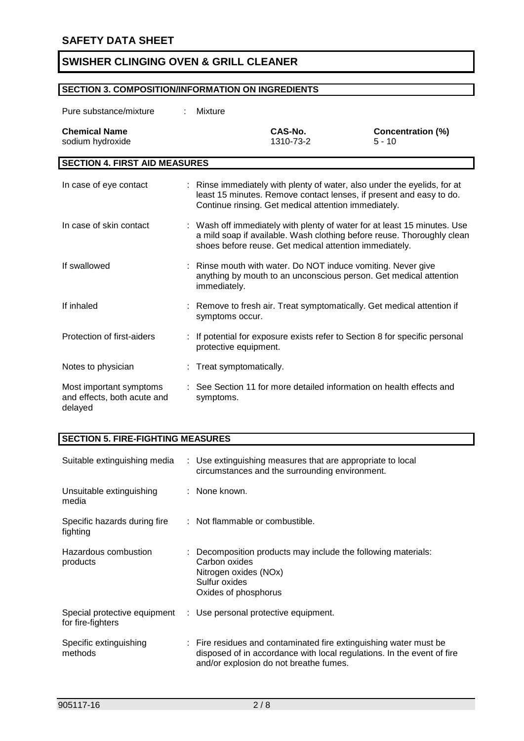# **SECTION 3. COMPOSITION/INFORMATION ON INGREDIENTS**

| Pure substance/mixture                                            | Mixture                |                                                                                                                                                                                                         |                                                                                                                                                    |
|-------------------------------------------------------------------|------------------------|---------------------------------------------------------------------------------------------------------------------------------------------------------------------------------------------------------|----------------------------------------------------------------------------------------------------------------------------------------------------|
| <b>Chemical Name</b><br>sodium hydroxide                          |                        | CAS-No.<br>1310-73-2                                                                                                                                                                                    | <b>Concentration (%)</b><br>$5 - 10$                                                                                                               |
| <b>SECTION 4. FIRST AID MEASURES</b>                              |                        |                                                                                                                                                                                                         |                                                                                                                                                    |
| In case of eye contact                                            |                        | : Rinse immediately with plenty of water, also under the eyelids, for at<br>least 15 minutes. Remove contact lenses, if present and easy to do.<br>Continue rinsing. Get medical attention immediately. |                                                                                                                                                    |
| In case of skin contact                                           |                        | shoes before reuse. Get medical attention immediately.                                                                                                                                                  | : Wash off immediately with plenty of water for at least 15 minutes. Use<br>a mild soap if available. Wash clothing before reuse. Thoroughly clean |
| If swallowed                                                      | immediately.           | Rinse mouth with water. Do NOT induce vomiting. Never give<br>anything by mouth to an unconscious person. Get medical attention                                                                         |                                                                                                                                                    |
| If inhaled                                                        | symptoms occur.        | Remove to fresh air. Treat symptomatically. Get medical attention if                                                                                                                                    |                                                                                                                                                    |
| Protection of first-aiders                                        | protective equipment.  | If potential for exposure exists refer to Section 8 for specific personal                                                                                                                               |                                                                                                                                                    |
| Notes to physician                                                | Treat symptomatically. |                                                                                                                                                                                                         |                                                                                                                                                    |
| Most important symptoms<br>and effects, both acute and<br>delayed | symptoms.              | : See Section 11 for more detailed information on health effects and                                                                                                                                    |                                                                                                                                                    |

## **SECTION 5. FIRE-FIGHTING MEASURES**

| Suitable extinguishing media                      | : Use extinguishing measures that are appropriate to local<br>circumstances and the surrounding environment.                                                                          |  |
|---------------------------------------------------|---------------------------------------------------------------------------------------------------------------------------------------------------------------------------------------|--|
| Unsuitable extinguishing<br>media                 | : None known.                                                                                                                                                                         |  |
| Specific hazards during fire<br>fighting          | : Not flammable or combustible.                                                                                                                                                       |  |
| Hazardous combustion<br>products                  | : Decomposition products may include the following materials:<br>Carbon oxides<br>Nitrogen oxides (NOx)<br>Sulfur oxides<br>Oxides of phosphorus                                      |  |
| Special protective equipment<br>for fire-fighters | : Use personal protective equipment.                                                                                                                                                  |  |
| Specific extinguishing<br>methods                 | : Fire residues and contaminated fire extinguishing water must be<br>disposed of in accordance with local regulations. In the event of fire<br>and/or explosion do not breathe fumes. |  |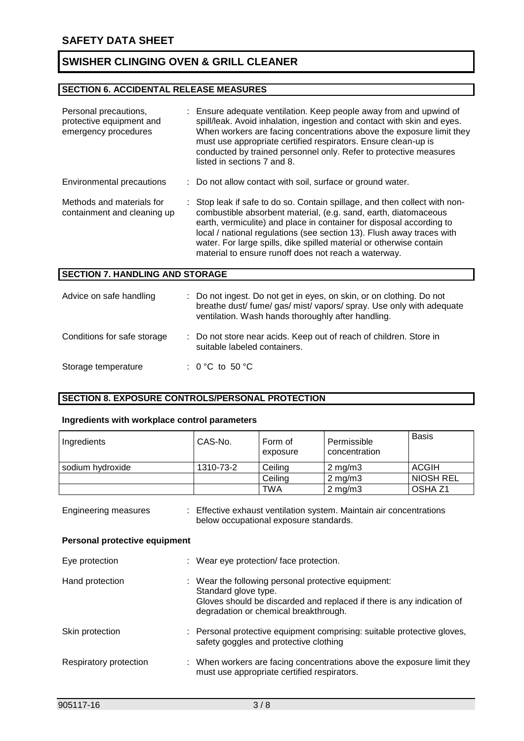#### **SECTION 6. ACCIDENTAL RELEASE MEASURES**

| Personal precautions,<br>protective equipment and<br>emergency procedures | : Ensure adequate ventilation. Keep people away from and upwind of<br>spill/leak. Avoid inhalation, ingestion and contact with skin and eyes.<br>When workers are facing concentrations above the exposure limit they<br>must use appropriate certified respirators. Ensure clean-up is<br>conducted by trained personnel only. Refer to protective measures<br>listed in sections 7 and 8.                                   |
|---------------------------------------------------------------------------|-------------------------------------------------------------------------------------------------------------------------------------------------------------------------------------------------------------------------------------------------------------------------------------------------------------------------------------------------------------------------------------------------------------------------------|
| Environmental precautions                                                 | : Do not allow contact with soil, surface or ground water.                                                                                                                                                                                                                                                                                                                                                                    |
| Methods and materials for<br>containment and cleaning up                  | : Stop leak if safe to do so. Contain spillage, and then collect with non-<br>combustible absorbent material, (e.g. sand, earth, diatomaceous<br>earth, vermiculite) and place in container for disposal according to<br>local / national regulations (see section 13). Flush away traces with<br>water. For large spills, dike spilled material or otherwise contain<br>material to ensure runoff does not reach a waterway. |
| <b>SECTION 7. HANDLING AND STORAGE</b>                                    |                                                                                                                                                                                                                                                                                                                                                                                                                               |
| Advice on safe handling                                                   | : Do not ingest. Do not get in eyes, on skin, or on clothing. Do not<br>breathe dust/ fume/ gas/ mist/ vapors/ spray. Use only with adequate<br>ventilation. Wash hands thoroughly after handling.                                                                                                                                                                                                                            |
| Conditions for safe storage                                               | : Do not store near acids. Keep out of reach of children. Store in<br>suitable labeled containers.                                                                                                                                                                                                                                                                                                                            |
| Storage temperature                                                       | : $0^{\circ}$ C to 50 $^{\circ}$ C                                                                                                                                                                                                                                                                                                                                                                                            |

#### **SECTION 8. EXPOSURE CONTROLS/PERSONAL PROTECTION**

#### **Ingredients with workplace control parameters**

| Ingredients                                           | CAS-No.                                                                                                                                                                                       | Form of<br>exposure                    | Permissible<br>concentration                                            | <b>Basis</b>     |
|-------------------------------------------------------|-----------------------------------------------------------------------------------------------------------------------------------------------------------------------------------------------|----------------------------------------|-------------------------------------------------------------------------|------------------|
| sodium hydroxide                                      | 1310-73-2                                                                                                                                                                                     | Ceiling                                | $2$ mg/m $3$                                                            | <b>ACGIH</b>     |
|                                                       |                                                                                                                                                                                               | Ceiling                                | $2$ mg/m $3$                                                            | <b>NIOSH REL</b> |
|                                                       |                                                                                                                                                                                               | TWA                                    | $2$ mg/m $3$                                                            | OSHA Z1          |
| Engineering measures<br>Personal protective equipment |                                                                                                                                                                                               | below occupational exposure standards. | : Effective exhaust ventilation system. Maintain air concentrations     |                  |
| Eye protection                                        | : Wear eye protection/face protection.                                                                                                                                                        |                                        |                                                                         |                  |
| Hand protection                                       | : Wear the following personal protective equipment:<br>Standard glove type.<br>Gloves should be discarded and replaced if there is any indication of<br>degradation or chemical breakthrough. |                                        |                                                                         |                  |
| Skin protection                                       |                                                                                                                                                                                               | safety goggles and protective clothing | : Personal protective equipment comprising: suitable protective gloves, |                  |

Respiratory protection : When workers are facing concentrations above the exposure limit they must use appropriate certified respirators.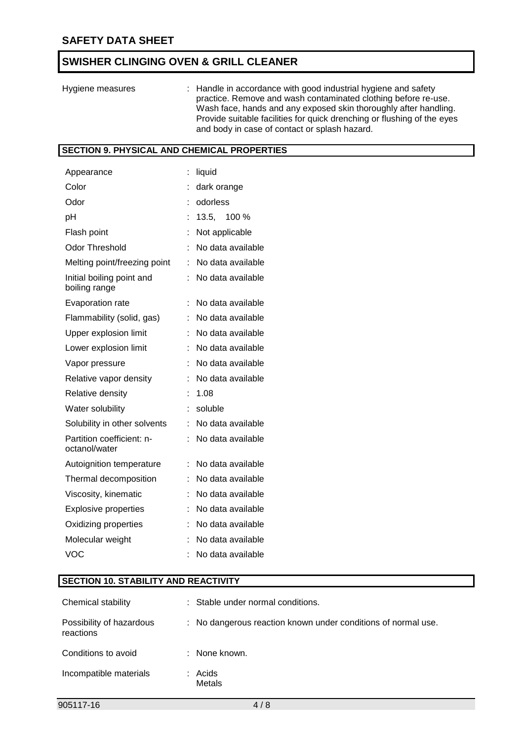| Hygiene measures | : Handle in accordance with good industrial hygiene and safety<br>practice. Remove and wash contaminated clothing before re-use.<br>Wash face, hands and any exposed skin thoroughly after handling.<br>Provide suitable facilities for quick drenching or flushing of the eyes |
|------------------|---------------------------------------------------------------------------------------------------------------------------------------------------------------------------------------------------------------------------------------------------------------------------------|
|                  | and body in case of contact or splash hazard.                                                                                                                                                                                                                                   |

## **SECTION 9. PHYSICAL AND CHEMICAL PROPERTIES**

| Appearance                                 | t | liquid            |
|--------------------------------------------|---|-------------------|
| Color                                      |   | dark orange       |
| Odor                                       |   | odorless          |
| рH                                         |   | 13.5, 100 %       |
| Flash point                                |   | Not applicable    |
| <b>Odor Threshold</b>                      |   | No data available |
| Melting point/freezing point               | t | No data available |
| Initial boiling point and<br>boiling range |   | No data available |
| Evaporation rate                           | t | No data available |
| Flammability (solid, gas)                  | t | No data available |
| Upper explosion limit                      | t | No data available |
| Lower explosion limit                      |   | No data available |
| Vapor pressure                             |   | No data available |
| Relative vapor density                     | t | No data available |
| <b>Relative density</b>                    |   | 1.08              |
| Water solubility                           |   | soluble           |
| Solubility in other solvents               |   | No data available |
| Partition coefficient: n-<br>octanol/water |   | No data available |
| Autoignition temperature                   | t | No data available |
| Thermal decomposition                      | t | No data available |
| Viscosity, kinematic                       | t | No data available |
| <b>Explosive properties</b>                |   | No data available |
| Oxidizing properties                       |   | No data available |
| Molecular weight                           |   | No data available |
| VOC                                        | ۰ | No data available |

# **SECTION 10. STABILITY AND REACTIVITY**

| Chemical stability                    | : Stable under normal conditions.                             |
|---------------------------------------|---------------------------------------------------------------|
| Possibility of hazardous<br>reactions | : No dangerous reaction known under conditions of normal use. |
| Conditions to avoid                   | : None known.                                                 |
| Incompatible materials                | : Acids<br>Metals                                             |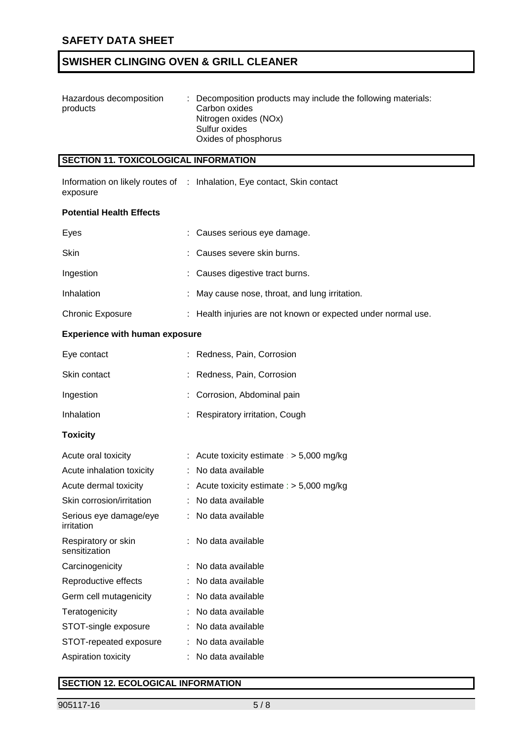| Hazardous decomposition | : Decomposition products may include the following materials: |
|-------------------------|---------------------------------------------------------------|
| products                | Carbon oxides                                                 |
|                         | Nitrogen oxides (NOx)                                         |
|                         | Sulfur oxides                                                 |
|                         | Oxides of phosphorus                                          |

# **SECTION 11. TOXICOLOGICAL INFORMATION**

|          | Information on likely routes of : Inhalation, Eye contact, Skin contact |
|----------|-------------------------------------------------------------------------|
| exposure |                                                                         |

#### **Potential Health Effects**

| Eyes                    | : Causes serious eye damage.                                  |
|-------------------------|---------------------------------------------------------------|
| <b>Skin</b>             | : Causes severe skin burns.                                   |
| Ingestion               | : Causes digestive tract burns.                               |
| Inhalation              | : May cause nose, throat, and lung irritation.                |
| <b>Chronic Exposure</b> | : Health injuries are not known or expected under normal use. |

## **Experience with human exposure**

| Eye contact  | : Redness, Pain, Corrosion      |
|--------------|---------------------------------|
| Skin contact | : Redness, Pain, Corrosion      |
| Ingestion    | : Corrosion, Abdominal pain     |
| Inhalation   | : Respiratory irritation, Cough |

#### **Toxicity**

| Acute oral toxicity                  | : Acute toxicity estimate : $>$ 5,000 mg/kg |
|--------------------------------------|---------------------------------------------|
| Acute inhalation toxicity            | : No data available                         |
| Acute dermal toxicity                | : Acute toxicity estimate : $>$ 5,000 mg/kg |
| Skin corrosion/irritation            | : No data available                         |
| Serious eye damage/eye<br>irritation | : No data available                         |
| Respiratory or skin<br>sensitization | : No data available                         |
| Carcinogenicity                      | : No data available                         |
| Reproductive effects                 | : No data available                         |
| Germ cell mutagenicity               | : No data available                         |
| Teratogenicity                       | : No data available                         |
| STOT-single exposure                 | : No data available                         |
| STOT-repeated exposure               | : No data available                         |
| Aspiration toxicity                  | : No data available                         |

### **SECTION 12. ECOLOGICAL INFORMATION**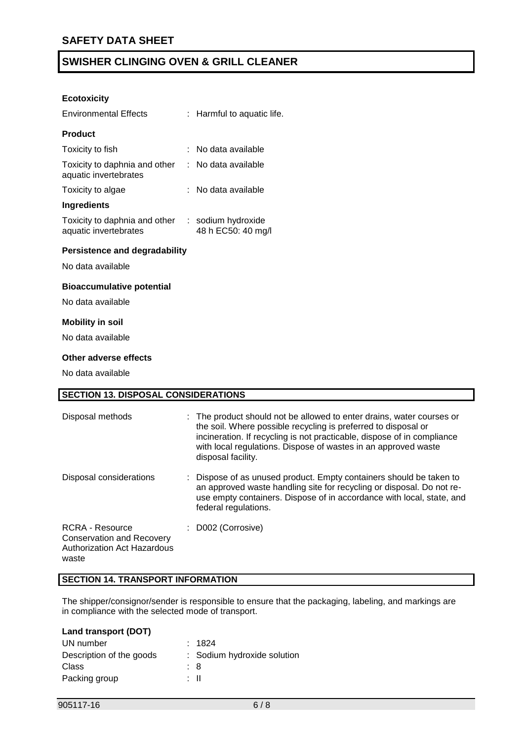#### **Ecotoxicity**

| <b>Environmental Effects</b>                           |  | : Harmful to aquatic life.               |  |  |  |  |
|--------------------------------------------------------|--|------------------------------------------|--|--|--|--|
| <b>Product</b>                                         |  |                                          |  |  |  |  |
| Toxicity to fish                                       |  | No data available                        |  |  |  |  |
| Toxicity to daphnia and other<br>aquatic invertebrates |  | : No data available                      |  |  |  |  |
| Toxicity to algae                                      |  | : No data available                      |  |  |  |  |
| Ingredients                                            |  |                                          |  |  |  |  |
| Toxicity to daphnia and other<br>aquatic invertebrates |  | : sodium hydroxide<br>48 h EC50: 40 mg/l |  |  |  |  |
| <b>Persistence and degradability</b>                   |  |                                          |  |  |  |  |
| No data available                                      |  |                                          |  |  |  |  |
| <b>Bioaccumulative potential</b>                       |  |                                          |  |  |  |  |
| No data available                                      |  |                                          |  |  |  |  |
| <b>Mobility in soil</b>                                |  |                                          |  |  |  |  |
| No data available                                      |  |                                          |  |  |  |  |
| Other adverse effects                                  |  |                                          |  |  |  |  |

No data available

| <b>SECTION 13. DISPOSAL CONSIDERATIONS</b>                                                  |                                                                                                                                                                                                                                                                                                            |  |  |  |  |
|---------------------------------------------------------------------------------------------|------------------------------------------------------------------------------------------------------------------------------------------------------------------------------------------------------------------------------------------------------------------------------------------------------------|--|--|--|--|
| Disposal methods                                                                            | : The product should not be allowed to enter drains, water courses or<br>the soil. Where possible recycling is preferred to disposal or<br>incineration. If recycling is not practicable, dispose of in compliance<br>with local regulations. Dispose of wastes in an approved waste<br>disposal facility. |  |  |  |  |
| Disposal considerations                                                                     | Dispose of as unused product. Empty containers should be taken to<br>an approved waste handling site for recycling or disposal. Do not re-<br>use empty containers. Dispose of in accordance with local, state, and<br>federal regulations.                                                                |  |  |  |  |
| RCRA - Resource<br><b>Conservation and Recovery</b><br>Authorization Act Hazardous<br>waste | : D002 (Corrosive)                                                                                                                                                                                                                                                                                         |  |  |  |  |

## **SECTION 14. TRANSPORT INFORMATION**

The shipper/consignor/sender is responsible to ensure that the packaging, labeling, and markings are in compliance with the selected mode of transport.

| Land transport (DOT) |  |
|----------------------|--|
|----------------------|--|

| UN number                | : 1824                      |
|--------------------------|-----------------------------|
| Description of the goods | : Sodium hydroxide solution |
| Class                    | : 8                         |
| Packing group            | : II                        |
|                          |                             |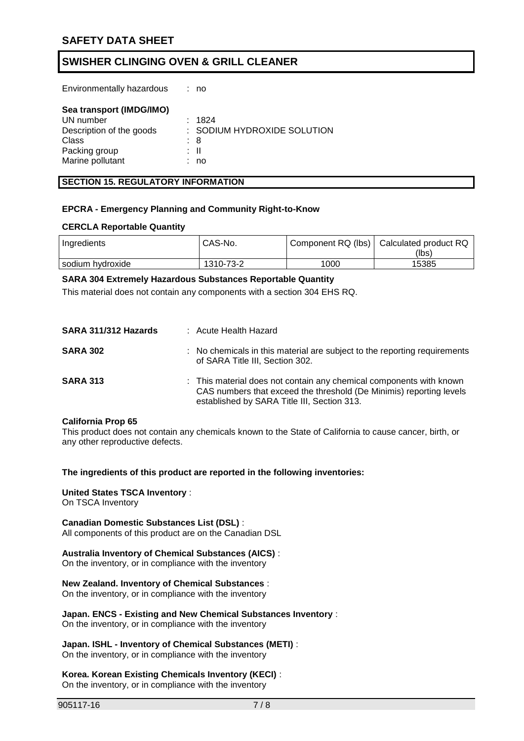Environmentally hazardous : no

| Sea transport (IMDG/IMO) |    |                             |
|--------------------------|----|-----------------------------|
| UN number                |    | : 1824                      |
| Description of the goods |    | : SODIUM HYDROXIDE SOLUTION |
| Class                    |    | : 8                         |
| Packing group            |    | : II                        |
| Marine pollutant         | I. | no                          |

#### **SECTION 15. REGULATORY INFORMATION**

#### **EPCRA - Emergency Planning and Community Right-to-Know**

#### **CERCLA Reportable Quantity**

| Ingredients      | CAS-No.   |      | Component RQ (lbs)   Calculated product RQ |
|------------------|-----------|------|--------------------------------------------|
|                  |           |      | (lbs)                                      |
| sodium hvdroxide | 1310-73-2 | 1000 | 15385                                      |

#### **SARA 304 Extremely Hazardous Substances Reportable Quantity**

This material does not contain any components with a section 304 EHS RQ.

| SARA 311/312 Hazards | : Acute Health Hazard                                                                                                                                                                     |
|----------------------|-------------------------------------------------------------------------------------------------------------------------------------------------------------------------------------------|
| <b>SARA 302</b>      | : No chemicals in this material are subject to the reporting requirements<br>of SARA Title III, Section 302.                                                                              |
| <b>SARA 313</b>      | : This material does not contain any chemical components with known<br>CAS numbers that exceed the threshold (De Minimis) reporting levels<br>established by SARA Title III, Section 313. |

#### **California Prop 65**

This product does not contain any chemicals known to the State of California to cause cancer, birth, or any other reproductive defects.

#### **The ingredients of this product are reported in the following inventories:**

## **United States TSCA Inventory** :

On TSCA Inventory

#### **Canadian Domestic Substances List (DSL)** :

All components of this product are on the Canadian DSL

#### **Australia Inventory of Chemical Substances (AICS)** :

On the inventory, or in compliance with the inventory

### **New Zealand. Inventory of Chemical Substances** :

On the inventory, or in compliance with the inventory

## **Japan. ENCS - Existing and New Chemical Substances Inventory** :

On the inventory, or in compliance with the inventory

#### **Japan. ISHL - Inventory of Chemical Substances (METI)** :

On the inventory, or in compliance with the inventory

#### **Korea. Korean Existing Chemicals Inventory (KECI)** :

On the inventory, or in compliance with the inventory